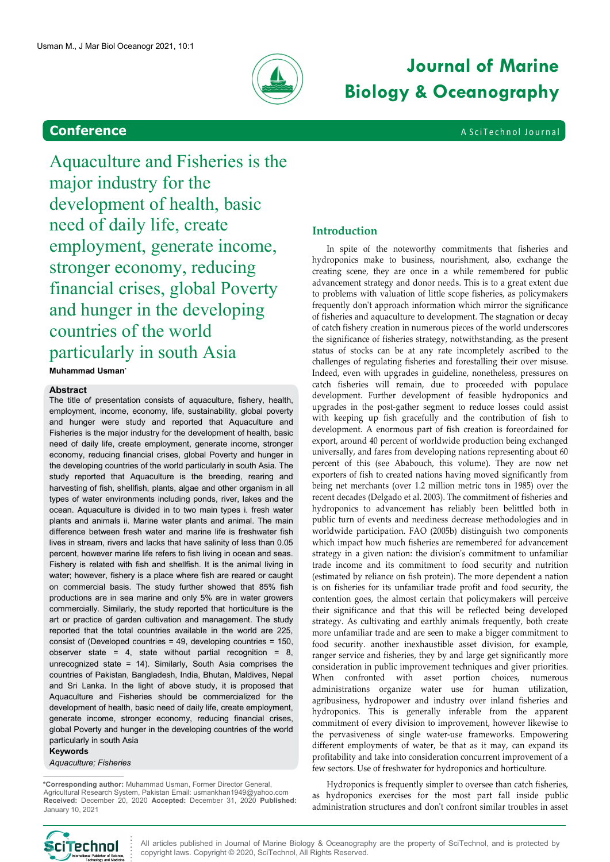

# Journal of Marine Biology & Oceanography

Aquaculture and Fisheries is the major industry for the development of health, basic need of daily life, create employment, generate income, stronger economy, reducing financial crises, global Poverty and hunger in the developing countries of the world particularly in south Asia Muhammad Usman\* Mar Biol Oceanogr 2021, 10:1<br>
Conference<br>
A quaculture and Fisheries is the<br>
development of health, basic

#### Abstract

The title of presentation consists of aquaculture, fishery, health, employment, income, economy, life, sustainability, global poverty and hunger were study and reported that Aquaculture and Fisheries is the major industry for the development of health, basic need of daily life, create employment, generate income, stronger economy, reducing financial crises, global Poverty and hunger in the developing countries of the world particularly in south Asia. The study reported that Aquaculture is the breeding, rearing and harvesting of fish, shellfish, plants, algae and other organism in all types of water environments including ponds, river, lakes and the ocean. Aquaculture is divided in to two main types i. fresh water plants and animals ii. Marine water plants and animal. The main difference between fresh water and marine life is freshwater fish lives in stream, rivers and lacks that have salinity of less than 0.05 percent, however marine life refers to fish living in ocean and seas. Fishery is related with fish and shellfish. It is the animal living in water; however, fishery is a place where fish are reared or caught on commercial basis. The study further showed that 85% fish productions are in sea marine and only 5% are in water growers commercially. Similarly, the study reported that horticulture is the art or practice of garden cultivation and management. The study reported that the total countries available in the world are 225, consist of (Developed countries = 49, developing countries = 150, observer state = 4, state without partial recognition = 8, unrecognized state = 14). Similarly, South Asia comprises the countries of Pakistan, Bangladesh, India, Bhutan, Maldives, Nepal and Sri Lanka. In the light of above study, it is proposed that Aquaculture and Fisheries should be commercialized for the development of health, basic need of daily life, create employment, generate income, stronger economy, reducing financial crises, global Poverty and hunger in the developing countries of the world particularly in south Asia

Keywords Aquaculture; Fisheries

 \*Corresponding author: Muhammad Usman, Former Director General, Agricultural Research System, Pakistan Email: usmankhan1949@yahoo.com Received: December 20, 2020 Accepted: December 31, 2020 Published: January 10, 2021

## Introduction

In spite of the noteworthy commitments that fisheries and hydroponics make to business, nourishment, also, exchange the creating scene, they are once in a while remembered for public advancement strategy and donor needs. This is to a great extent due to problems with valuation of little scope fisheries, as policymakers frequently don't approach information which mirror the significance of fisheries and aquaculture to development. The stagnation or decay of catch fishery creation in numerous pieces of the world underscores the significance of fisheries strategy, notwithstanding, as the present status of stocks can be at any rate incompletely ascribed to the challenges of regulating fisheries and forestalling their over misuse. Indeed, even with upgrades in guideline, nonetheless, pressures on catch fisheries will remain, due to proceeded with populace development. Further development of feasible hydroponics and upgrades in the post-gather segment to reduce losses could assist with keeping up fish gracefully and the contribution of fish to development. A enormous part of fish creation is foreordained for export, around 40 percent of worldwide production being exchanged universally, and fares from developing nations representing about 60 percent of this (see Ababouch, this volume). They are now net exporters of fish to created nations having moved significantly from being net merchants (over 1.2 million metric tons in 1985) over the recent decades (Delgado et al. 2003). The commitment of fisheries and hydroponics to advancement has reliably been belittled both in public turn of events and neediness decrease methodologies and in worldwide participation. FAO (2005b) distinguish two components which impact how much fisheries are remembered for advancement strategy in a given nation: the division's commitment to unfamiliar trade income and its commitment to food security and nutrition (estimated by reliance on fish protein). The more dependent a nation is on fisheries for its unfamiliar trade profit and food security, the contention goes, the almost certain that policymakers will perceive their significance and that this will be reflected being developed strategy. As cultivating and earthly animals frequently, both create more unfamiliar trade and are seen to make a bigger commitment to food security. another inexhaustible asset division, for example, ranger service and fisheries, they by and large get significantly more consideration in public improvement techniques and giver priorities. When confronted with asset portion choices, numerous administrations organize water use for human utilization, agribusiness, hydropower and industry over inland fisheries and hydroponics. This is generally inferable from the apparent commitment of every division to improvement, however likewise to the pervasiveness of single water-use frameworks. Empowering different employments of water, be that as it may, can expand its profitability and take into consideration concurrent improvement of a few sectors. Use of freshwater for hydroponics and horticulture.

Hydroponics is frequently simpler to oversee than catch fisheries, as hydroponics exercises for the most part fall inside public administration structures and don't confront similar troubles in asset